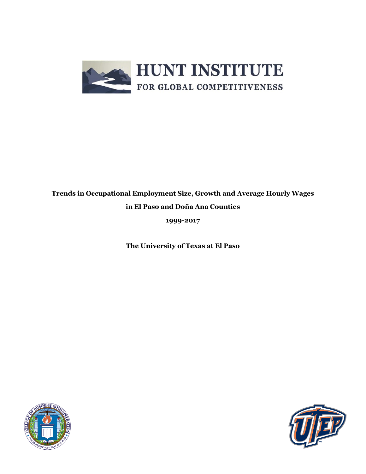

## **Trends in Occupational Employment Size, Growth and Average Hourly Wages in El Paso and Doña Ana Counties**

**1999-2017**

**The University of Texas at El Paso**



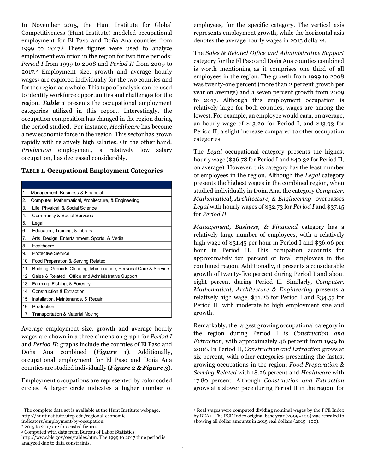In November 2015, the Hunt Institute for Global Competitiveness (Hunt Institute) modeled occupational employment for El Paso and Doña Ana counties from 1999 to 2017. <sup>1</sup> These figures were used to analyze employment evolution in the region for two time periods: *Period I* from 1999 to 2008 and *Period II* from 2009 to 2017.<sup>2</sup> Employment size, growth and average hourly wages<sup>3</sup> are explored individually for the two counties and for the region as a whole. This type of analysis can be used to identify workforce opportunities and challenges for the region. *Table 1* presents the occupational employment categories utilized in this report. Interestingly, the occupation composition has changed in the region during the period studied. For instance, *Healthcare* has become a new economic force in the region. This sector has grown rapidly with relatively high salaries. On the other hand, *Production* employment, a relatively low salary occupation, has decreased considerably.

| 1.  | Management, Business & Financial                                 |
|-----|------------------------------------------------------------------|
| 2.  | Computer, Mathematical, Architecture, & Engineering              |
| 3.  | Life, Physical, & Social Science                                 |
| 4.  | Community & Social Services                                      |
| 5.  | Legal                                                            |
| 6.  | Education, Training, & Library                                   |
| 7.  | Arts, Design, Entertainment, Sports, & Media                     |
| 8.  | Healthcare                                                       |
| 9.  | Protective Service                                               |
| 10. | Food Preparation & Serving Related                               |
| 11. | Building, Grounds Cleaning, Maintenance, Personal Care & Service |
| 12. | Sales & Related, Office and Administrative Support               |
| 13. | Farming, Fishing, & Forestry                                     |
| 14. | Construction & Extraction                                        |
| 15. | Installation, Maintenance, & Repair                              |
| 16. | Production                                                       |
| 17. | Transportation & Material Moving                                 |
|     |                                                                  |

Average employment size, growth and average hourly wages are shown in a three dimension graph for *Period I* and *Period II*; graphs include the counties of El Paso and Doña Ana combined (*Figure 1*). Additionally, occupational employment for El Paso and Doña Ana counties are studied individually (*Figure 2 & Figure 3*).

Employment occupations are represented by color coded circles. A larger circle indicates a higher number of

 $\overline{\phantom{a}}$ 

employees, for the specific category. The vertical axis represents employment growth, while the horizontal axis denotes the average hourly wages in 2015 dollars4.

The *Sales & Related Office and Administrative Support* category for the El Paso and Doña Ana counties combined is worth mentioning as it comprises one third of all employees in the region. The growth from 1999 to 2008 was twenty-one percent (more than 2 percent growth per year on average) and a seven percent growth from 2009 to 2017. Although this employment occupation is relatively large for both counties, wages are among the lowest. For example, an employee would earn, on average, an hourly wage of \$13.20 for Period I, and \$13.93 for Period II, a slight increase compared to other occupation categories.

The *Legal* occupational category presents the highest hourly wage (\$36.78 for Period I and \$40.32 for Period II, on average). However, this category has the least number of employees in the region. Although the *Legal* category presents the highest wages in the combined region, when studied individually in Doña Ana, the category *Computer, Mathematical, Architecture, & Engineering* overpasses *Legal* with hourly wages of \$32.73 for *Period I* and \$37.15 for *Period II.*

*Management, Business, & Financial* category has a relatively large number of employees, with a relatively high wage of \$31.45 per hour in Period I and \$36.06 per hour in Period II. This occupation accounts for approximately ten percent of total employees in the combined region. Additionally, it presents a considerable growth of twenty-five percent during Period I and about eight percent during Period II. Similarly, *Computer, Mathematical, Architecture & Engineering* presents a relatively high wage, \$31.26 for Period I and \$34.57 for Period II, with moderate to high employment size and growth.

Remarkably, the largest growing occupational category in the region during Period I is *Construction and Extraction,* with approximately 46 percent from 1999 to 2008. In Period II, *Construction and Extraction* grows at six percent, with other categories presenting the fastest growing occupations in the region: *Food Preparation & Serving Related* with 18.26 percent and *Healthcare* with 17.80 percent. Although *Construction and Extraction*  grows at a slower pace during Period II in the region, for

<sup>&</sup>lt;sup>1</sup> The complete data set is available at the Hunt Institute webpage. [http://huntinstitute.utep.edu/regional-economic-](http://huntinstitute.utep.edu/regional-economic-indicators/employment-by-occupation)

[indicators/employment-by-occupation.](http://huntinstitute.utep.edu/regional-economic-indicators/employment-by-occupation) <sup>2</sup> 2015 to 2017 are forecasted figures.

<sup>3</sup> Computed with data from Bureau of Labor Statistics.

[http://www.bls.gov/oes/tables.htm.](http://www.bls.gov/oes/tables.htm) The 1999 to 2017 time period is analyzed due to data constraints.

<sup>4</sup> Real wages were computed dividing nominal wages by the PCE Index by BEA+. The PCE Index original base year (2009=100) was rescaled to showing all dollar amounts in 2015 real dollars (2015=100).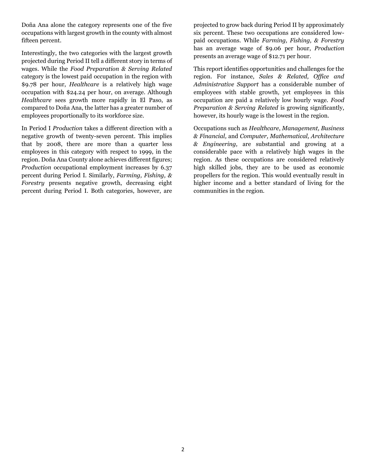Doña Ana alone the category represents one of the five occupations with largest growth in the county with almost fifteen percent.

Interestingly, the two categories with the largest growth projected during Period II tell a different story in terms of wages. While the *Food Preparation & Serving Related*  category is the lowest paid occupation in the region with \$9.78 per hour, *Healthcare* is a relatively high wage occupation with \$24.24 per hour, on average. Although *Healthcare* sees growth more rapidly in El Paso, as compared to Doña Ana, the latter has a greater number of employees proportionally to its workforce size.

In Period I *Production* takes a different direction with a negative growth of twenty-seven percent. This implies that by 2008, there are more than a quarter less employees in this category with respect to 1999, in the region. Doña Ana County alone achieves different figures; *Production* occupational employment increases by 6.37 percent during Period I. Similarly, *Farming, Fishing, & Forestry* presents negative growth, decreasing eight percent during Period I. Both categories, however, are

projected to grow back during Period II by approximately six percent. These two occupations are considered lowpaid occupations. While *Farming, Fishing, & Forestry* has an average wage of \$9.06 per hour, *Production* presents an average wage of \$12.71 per hour.

This report identifies opportunities and challenges for the region. For instance, *Sales & Related, Office and Administrative Support* has a considerable number of employees with stable growth, yet employees in this occupation are paid a relatively low hourly wage. *Food Preparation & Serving Related* is growing significantly, however, its hourly wage is the lowest in the region.

Occupations such as *Healthcare*, *Management, Business & Financial,* and *Computer, Mathematical, Architecture & Engineering,* are substantial and growing at a considerable pace with a relatively high wages in the region. As these occupations are considered relatively high skilled jobs, they are to be used as economic propellers for the region. This would eventually result in higher income and a better standard of living for the communities in the region.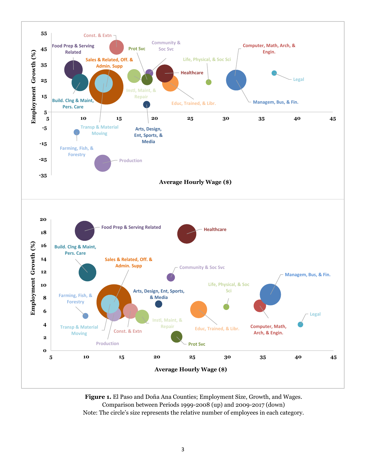

**Figure 1.** El Paso and Doña Ana Counties; Employment Size, Growth, and Wages. Comparison between Periods 1999-2008 (up) and 2009-2017 (down) Note: The circle's size represents the relative number of employees in each category.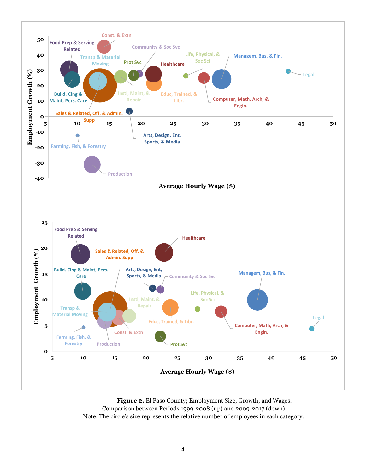

**Figure 2.** El Paso County; Employment Size, Growth, and Wages. Comparison between Periods 1999-2008 (up) and 2009-2017 (down) Note: The circle's size represents the relative number of employees in each category.